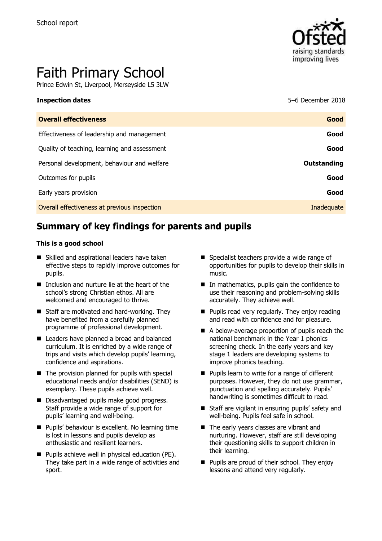

# Faith Primary School

Prince Edwin St, Liverpool, Merseyside L5 3LW

**Inspection dates** 5–6 December 2018

| <b>Overall effectiveness</b>                 | Good        |
|----------------------------------------------|-------------|
| Effectiveness of leadership and management   | Good        |
| Quality of teaching, learning and assessment | Good        |
| Personal development, behaviour and welfare  | Outstanding |
| Outcomes for pupils                          | Good        |
| Early years provision                        | Good        |
| Overall effectiveness at previous inspection | Inadequate  |
|                                              |             |

# **Summary of key findings for parents and pupils**

#### **This is a good school**

- Skilled and aspirational leaders have taken effective steps to rapidly improve outcomes for pupils.
- Inclusion and nurture lie at the heart of the school's strong Christian ethos. All are welcomed and encouraged to thrive.
- Staff are motivated and hard-working. They have benefited from a carefully planned programme of professional development.
- Leaders have planned a broad and balanced curriculum. It is enriched by a wide range of trips and visits which develop pupils' learning, confidence and aspirations.
- $\blacksquare$  The provision planned for pupils with special educational needs and/or disabilities (SEND) is exemplary. These pupils achieve well.
- Disadvantaged pupils make good progress. Staff provide a wide range of support for pupils' learning and well-being.
- **Pupils' behaviour is excellent. No learning time** is lost in lessons and pupils develop as enthusiastic and resilient learners.
- **Pupils achieve well in physical education (PE).** They take part in a wide range of activities and sport.
- Specialist teachers provide a wide range of opportunities for pupils to develop their skills in music.
- $\blacksquare$  In mathematics, pupils gain the confidence to use their reasoning and problem-solving skills accurately. They achieve well.
- $\blacksquare$  Pupils read very regularly. They enjoy reading and read with confidence and for pleasure.
- A below-average proportion of pupils reach the national benchmark in the Year 1 phonics screening check. In the early years and key stage 1 leaders are developing systems to improve phonics teaching.
- Pupils learn to write for a range of different purposes. However, they do not use grammar, punctuation and spelling accurately. Pupils' handwriting is sometimes difficult to read.
- Staff are vigilant in ensuring pupils' safety and well-being. Pupils feel safe in school.
- The early years classes are vibrant and nurturing. However, staff are still developing their questioning skills to support children in their learning.
- **Pupils are proud of their school. They enjoy** lessons and attend very regularly.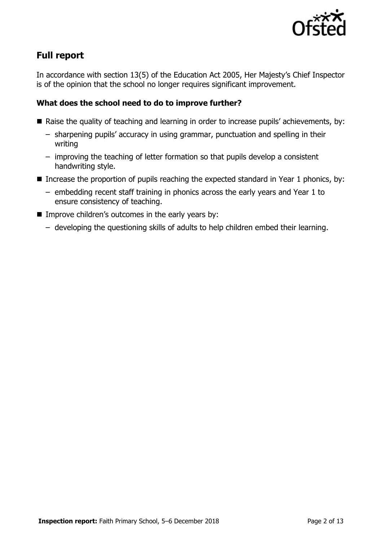

# **Full report**

In accordance with section 13(5) of the Education Act 2005, Her Majesty's Chief Inspector is of the opinion that the school no longer requires significant improvement.

### **What does the school need to do to improve further?**

- Raise the quality of teaching and learning in order to increase pupils' achievements, by:
	- sharpening pupils' accuracy in using grammar, punctuation and spelling in their writing
	- improving the teaching of letter formation so that pupils develop a consistent handwriting style.
- Increase the proportion of pupils reaching the expected standard in Year 1 phonics, by:
	- embedding recent staff training in phonics across the early years and Year 1 to ensure consistency of teaching.
- **IMPROVE CHILD THEORY S** OUTCOMES in the early years by:
	- developing the questioning skills of adults to help children embed their learning.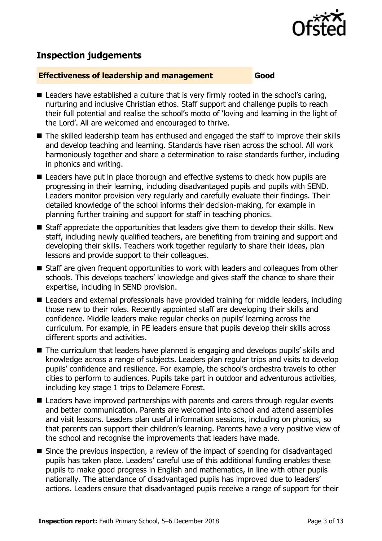

## **Inspection judgements**

#### **Effectiveness of leadership and management Good**

- Leaders have established a culture that is very firmly rooted in the school's caring, nurturing and inclusive Christian ethos. Staff support and challenge pupils to reach their full potential and realise the school's motto of 'loving and learning in the light of the Lord'. All are welcomed and encouraged to thrive.
- The skilled leadership team has enthused and engaged the staff to improve their skills and develop teaching and learning. Standards have risen across the school. All work harmoniously together and share a determination to raise standards further, including in phonics and writing.
- Leaders have put in place thorough and effective systems to check how pupils are progressing in their learning, including disadvantaged pupils and pupils with SEND. Leaders monitor provision very regularly and carefully evaluate their findings. Their detailed knowledge of the school informs their decision-making, for example in planning further training and support for staff in teaching phonics.
- Staff appreciate the opportunities that leaders give them to develop their skills. New staff, including newly qualified teachers, are benefiting from training and support and developing their skills. Teachers work together regularly to share their ideas, plan lessons and provide support to their colleagues.
- Staff are given frequent opportunities to work with leaders and colleagues from other schools. This develops teachers' knowledge and gives staff the chance to share their expertise, including in SEND provision.
- Leaders and external professionals have provided training for middle leaders, including those new to their roles. Recently appointed staff are developing their skills and confidence. Middle leaders make regular checks on pupils' learning across the curriculum. For example, in PE leaders ensure that pupils develop their skills across different sports and activities.
- The curriculum that leaders have planned is engaging and develops pupils' skills and knowledge across a range of subjects. Leaders plan regular trips and visits to develop pupils' confidence and resilience. For example, the school's orchestra travels to other cities to perform to audiences. Pupils take part in outdoor and adventurous activities, including key stage 1 trips to Delamere Forest.
- Leaders have improved partnerships with parents and carers through regular events and better communication. Parents are welcomed into school and attend assemblies and visit lessons. Leaders plan useful information sessions, including on phonics, so that parents can support their children's learning. Parents have a very positive view of the school and recognise the improvements that leaders have made.
- Since the previous inspection, a review of the impact of spending for disadvantaged pupils has taken place. Leaders' careful use of this additional funding enables these pupils to make good progress in English and mathematics, in line with other pupils nationally. The attendance of disadvantaged pupils has improved due to leaders' actions. Leaders ensure that disadvantaged pupils receive a range of support for their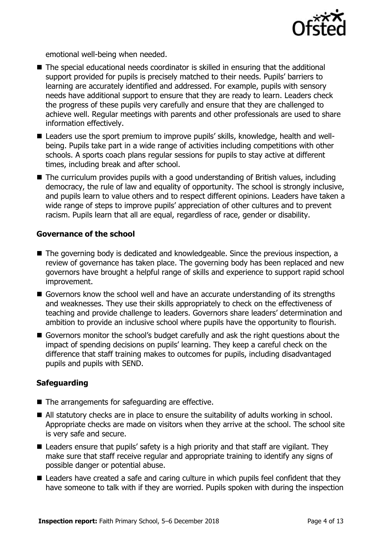

emotional well-being when needed.

- The special educational needs coordinator is skilled in ensuring that the additional support provided for pupils is precisely matched to their needs. Pupils' barriers to learning are accurately identified and addressed. For example, pupils with sensory needs have additional support to ensure that they are ready to learn. Leaders check the progress of these pupils very carefully and ensure that they are challenged to achieve well. Regular meetings with parents and other professionals are used to share information effectively.
- Leaders use the sport premium to improve pupils' skills, knowledge, health and wellbeing. Pupils take part in a wide range of activities including competitions with other schools. A sports coach plans regular sessions for pupils to stay active at different times, including break and after school.
- The curriculum provides pupils with a good understanding of British values, including democracy, the rule of law and equality of opportunity. The school is strongly inclusive, and pupils learn to value others and to respect different opinions. Leaders have taken a wide range of steps to improve pupils' appreciation of other cultures and to prevent racism. Pupils learn that all are equal, regardless of race, gender or disability.

#### **Governance of the school**

- The governing body is dedicated and knowledgeable. Since the previous inspection, a review of governance has taken place. The governing body has been replaced and new governors have brought a helpful range of skills and experience to support rapid school improvement.
- Governors know the school well and have an accurate understanding of its strengths and weaknesses. They use their skills appropriately to check on the effectiveness of teaching and provide challenge to leaders. Governors share leaders' determination and ambition to provide an inclusive school where pupils have the opportunity to flourish.
- Governors monitor the school's budget carefully and ask the right questions about the impact of spending decisions on pupils' learning. They keep a careful check on the difference that staff training makes to outcomes for pupils, including disadvantaged pupils and pupils with SEND.

### **Safeguarding**

- The arrangements for safeguarding are effective.
- All statutory checks are in place to ensure the suitability of adults working in school. Appropriate checks are made on visitors when they arrive at the school. The school site is very safe and secure.
- Leaders ensure that pupils' safety is a high priority and that staff are vigilant. They make sure that staff receive regular and appropriate training to identify any signs of possible danger or potential abuse.
- Leaders have created a safe and caring culture in which pupils feel confident that they have someone to talk with if they are worried. Pupils spoken with during the inspection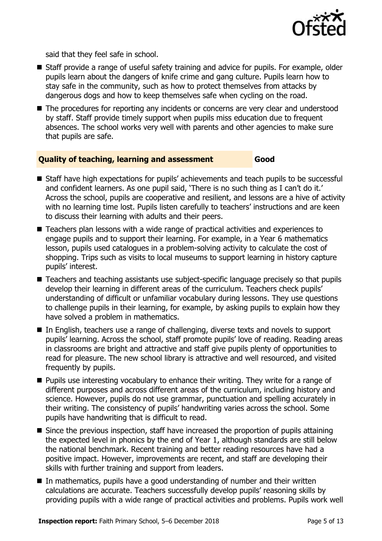

said that they feel safe in school.

- Staff provide a range of useful safety training and advice for pupils. For example, older pupils learn about the dangers of knife crime and gang culture. Pupils learn how to stay safe in the community, such as how to protect themselves from attacks by dangerous dogs and how to keep themselves safe when cycling on the road.
- The procedures for reporting any incidents or concerns are very clear and understood by staff. Staff provide timely support when pupils miss education due to frequent absences. The school works very well with parents and other agencies to make sure that pupils are safe.

#### **Quality of teaching, learning and assessment Good**

- Staff have high expectations for pupils' achievements and teach pupils to be successful and confident learners. As one pupil said, 'There is no such thing as I can't do it.' Across the school, pupils are cooperative and resilient, and lessons are a hive of activity with no learning time lost. Pupils listen carefully to teachers' instructions and are keen to discuss their learning with adults and their peers.
- Teachers plan lessons with a wide range of practical activities and experiences to engage pupils and to support their learning. For example, in a Year 6 mathematics lesson, pupils used catalogues in a problem-solving activity to calculate the cost of shopping. Trips such as visits to local museums to support learning in history capture pupils' interest.
- Teachers and teaching assistants use subject-specific language precisely so that pupils develop their learning in different areas of the curriculum. Teachers check pupils' understanding of difficult or unfamiliar vocabulary during lessons. They use questions to challenge pupils in their learning, for example, by asking pupils to explain how they have solved a problem in mathematics.
- In English, teachers use a range of challenging, diverse texts and novels to support pupils' learning. Across the school, staff promote pupils' love of reading. Reading areas in classrooms are bright and attractive and staff give pupils plenty of opportunities to read for pleasure. The new school library is attractive and well resourced, and visited frequently by pupils.
- **Pupils use interesting vocabulary to enhance their writing. They write for a range of** different purposes and across different areas of the curriculum, including history and science. However, pupils do not use grammar, punctuation and spelling accurately in their writing. The consistency of pupils' handwriting varies across the school. Some pupils have handwriting that is difficult to read.
- Since the previous inspection, staff have increased the proportion of pupils attaining the expected level in phonics by the end of Year 1, although standards are still below the national benchmark. Recent training and better reading resources have had a positive impact. However, improvements are recent, and staff are developing their skills with further training and support from leaders.
- In mathematics, pupils have a good understanding of number and their written calculations are accurate. Teachers successfully develop pupils' reasoning skills by providing pupils with a wide range of practical activities and problems. Pupils work well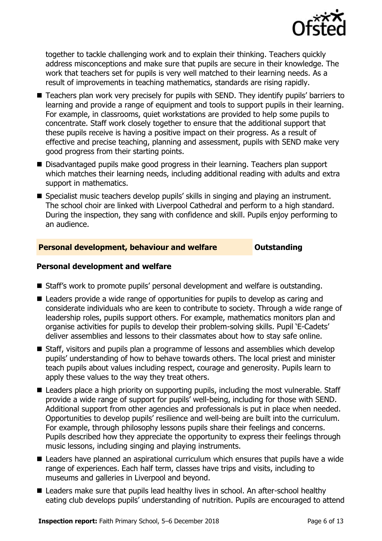

together to tackle challenging work and to explain their thinking. Teachers quickly address misconceptions and make sure that pupils are secure in their knowledge. The work that teachers set for pupils is very well matched to their learning needs. As a result of improvements in teaching mathematics, standards are rising rapidly.

- Teachers plan work very precisely for pupils with SEND. They identify pupils' barriers to learning and provide a range of equipment and tools to support pupils in their learning. For example, in classrooms, quiet workstations are provided to help some pupils to concentrate. Staff work closely together to ensure that the additional support that these pupils receive is having a positive impact on their progress. As a result of effective and precise teaching, planning and assessment, pupils with SEND make very good progress from their starting points.
- Disadvantaged pupils make good progress in their learning. Teachers plan support which matches their learning needs, including additional reading with adults and extra support in mathematics.
- Specialist music teachers develop pupils' skills in singing and playing an instrument. The school choir are linked with Liverpool Cathedral and perform to a high standard. During the inspection, they sang with confidence and skill. Pupils enjoy performing to an audience.

#### **Personal development, behaviour and welfare <b>COUNG COULTS** Outstanding

#### **Personal development and welfare**

- Staff's work to promote pupils' personal development and welfare is outstanding.
- Leaders provide a wide range of opportunities for pupils to develop as caring and considerate individuals who are keen to contribute to society. Through a wide range of leadership roles, pupils support others. For example, mathematics monitors plan and organise activities for pupils to develop their problem-solving skills. Pupil 'E-Cadets' deliver assemblies and lessons to their classmates about how to stay safe online.
- Staff, visitors and pupils plan a programme of lessons and assemblies which develop pupils' understanding of how to behave towards others. The local priest and minister teach pupils about values including respect, courage and generosity. Pupils learn to apply these values to the way they treat others.
- Leaders place a high priority on supporting pupils, including the most vulnerable. Staff provide a wide range of support for pupils' well-being, including for those with SEND. Additional support from other agencies and professionals is put in place when needed. Opportunities to develop pupils' resilience and well-being are built into the curriculum. For example, through philosophy lessons pupils share their feelings and concerns. Pupils described how they appreciate the opportunity to express their feelings through music lessons, including singing and playing instruments.
- Leaders have planned an aspirational curriculum which ensures that pupils have a wide range of experiences. Each half term, classes have trips and visits, including to museums and galleries in Liverpool and beyond.
- Leaders make sure that pupils lead healthy lives in school. An after-school healthy eating club develops pupils' understanding of nutrition. Pupils are encouraged to attend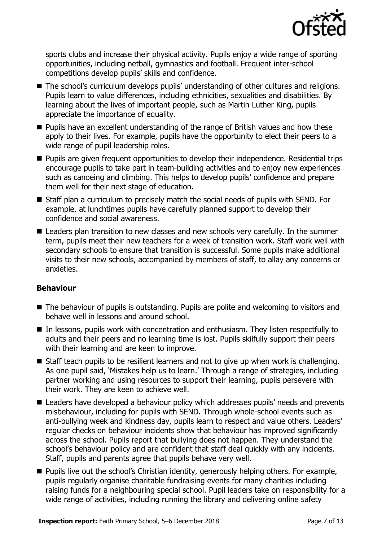

sports clubs and increase their physical activity. Pupils enjoy a wide range of sporting opportunities, including netball, gymnastics and football. Frequent inter-school competitions develop pupils' skills and confidence.

- The school's curriculum develops pupils' understanding of other cultures and religions. Pupils learn to value differences, including ethnicities, sexualities and disabilities. By learning about the lives of important people, such as Martin Luther King, pupils appreciate the importance of equality.
- **Pupils have an excellent understanding of the range of British values and how these** apply to their lives. For example, pupils have the opportunity to elect their peers to a wide range of pupil leadership roles.
- **Pupils are given frequent opportunities to develop their independence. Residential trips** encourage pupils to take part in team-building activities and to enjoy new experiences such as canoeing and climbing. This helps to develop pupils' confidence and prepare them well for their next stage of education.
- Staff plan a curriculum to precisely match the social needs of pupils with SEND. For example, at lunchtimes pupils have carefully planned support to develop their confidence and social awareness.
- Leaders plan transition to new classes and new schools very carefully. In the summer term, pupils meet their new teachers for a week of transition work. Staff work well with secondary schools to ensure that transition is successful. Some pupils make additional visits to their new schools, accompanied by members of staff, to allay any concerns or anxieties.

### **Behaviour**

- The behaviour of pupils is outstanding. Pupils are polite and welcoming to visitors and behave well in lessons and around school.
- In lessons, pupils work with concentration and enthusiasm. They listen respectfully to adults and their peers and no learning time is lost. Pupils skilfully support their peers with their learning and are keen to improve.
- Staff teach pupils to be resilient learners and not to give up when work is challenging. As one pupil said, 'Mistakes help us to learn.' Through a range of strategies, including partner working and using resources to support their learning, pupils persevere with their work. They are keen to achieve well.
- Leaders have developed a behaviour policy which addresses pupils' needs and prevents misbehaviour, including for pupils with SEND. Through whole-school events such as anti-bullying week and kindness day, pupils learn to respect and value others. Leaders' regular checks on behaviour incidents show that behaviour has improved significantly across the school. Pupils report that bullying does not happen. They understand the school's behaviour policy and are confident that staff deal quickly with any incidents. Staff, pupils and parents agree that pupils behave very well.
- **Pupils live out the school's Christian identity, generously helping others. For example,** pupils regularly organise charitable fundraising events for many charities including raising funds for a neighbouring special school. Pupil leaders take on responsibility for a wide range of activities, including running the library and delivering online safety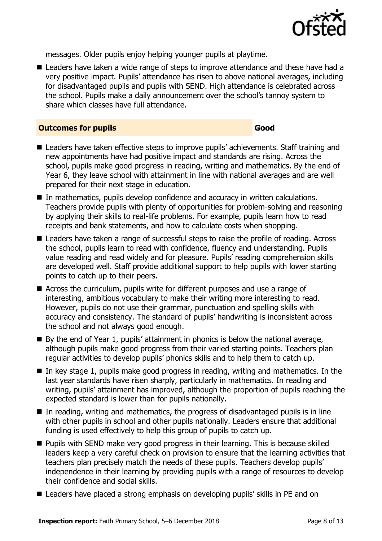

messages. Older pupils enjoy helping younger pupils at playtime.

■ Leaders have taken a wide range of steps to improve attendance and these have had a very positive impact. Pupils' attendance has risen to above national averages, including for disadvantaged pupils and pupils with SEND. High attendance is celebrated across the school. Pupils make a daily announcement over the school's tannoy system to share which classes have full attendance.

#### **Outcomes for pupils Good**

- Leaders have taken effective steps to improve pupils' achievements. Staff training and new appointments have had positive impact and standards are rising. Across the school, pupils make good progress in reading, writing and mathematics. By the end of Year 6, they leave school with attainment in line with national averages and are well prepared for their next stage in education.
- In mathematics, pupils develop confidence and accuracy in written calculations. Teachers provide pupils with plenty of opportunities for problem-solving and reasoning by applying their skills to real-life problems. For example, pupils learn how to read receipts and bank statements, and how to calculate costs when shopping.
- Leaders have taken a range of successful steps to raise the profile of reading. Across the school, pupils learn to read with confidence, fluency and understanding. Pupils value reading and read widely and for pleasure. Pupils' reading comprehension skills are developed well. Staff provide additional support to help pupils with lower starting points to catch up to their peers.
- Across the curriculum, pupils write for different purposes and use a range of interesting, ambitious vocabulary to make their writing more interesting to read. However, pupils do not use their grammar, punctuation and spelling skills with accuracy and consistency. The standard of pupils' handwriting is inconsistent across the school and not always good enough.
- $\blacksquare$  By the end of Year 1, pupils' attainment in phonics is below the national average, although pupils make good progress from their varied starting points. Teachers plan regular activities to develop pupils' phonics skills and to help them to catch up.
- $\blacksquare$  In key stage 1, pupils make good progress in reading, writing and mathematics. In the last year standards have risen sharply, particularly in mathematics. In reading and writing, pupils' attainment has improved, although the proportion of pupils reaching the expected standard is lower than for pupils nationally.
- $\blacksquare$  In reading, writing and mathematics, the progress of disadvantaged pupils is in line with other pupils in school and other pupils nationally. Leaders ensure that additional funding is used effectively to help this group of pupils to catch up.
- **Pupils with SEND make very good progress in their learning. This is because skilled** leaders keep a very careful check on provision to ensure that the learning activities that teachers plan precisely match the needs of these pupils. Teachers develop pupils' independence in their learning by providing pupils with a range of resources to develop their confidence and social skills.
- Leaders have placed a strong emphasis on developing pupils' skills in PE and on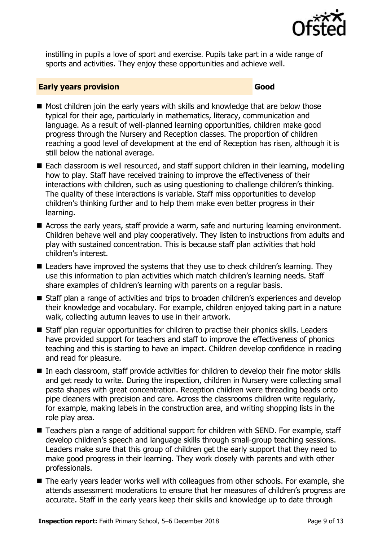

instilling in pupils a love of sport and exercise. Pupils take part in a wide range of sports and activities. They enjoy these opportunities and achieve well.

#### **Early years provision Good Good**

- $\blacksquare$  Most children join the early years with skills and knowledge that are below those typical for their age, particularly in mathematics, literacy, communication and language. As a result of well-planned learning opportunities, children make good progress through the Nursery and Reception classes. The proportion of children reaching a good level of development at the end of Reception has risen, although it is still below the national average.
- Each classroom is well resourced, and staff support children in their learning, modelling how to play. Staff have received training to improve the effectiveness of their interactions with children, such as using questioning to challenge children's thinking. The quality of these interactions is variable. Staff miss opportunities to develop children's thinking further and to help them make even better progress in their learning.
- Across the early years, staff provide a warm, safe and nurturing learning environment. Children behave well and play cooperatively. They listen to instructions from adults and play with sustained concentration. This is because staff plan activities that hold children's interest.
- **E** Leaders have improved the systems that they use to check children's learning. They use this information to plan activities which match children's learning needs. Staff share examples of children's learning with parents on a regular basis.
- Staff plan a range of activities and trips to broaden children's experiences and develop their knowledge and vocabulary. For example, children enjoyed taking part in a nature walk, collecting autumn leaves to use in their artwork.
- Staff plan regular opportunities for children to practise their phonics skills. Leaders have provided support for teachers and staff to improve the effectiveness of phonics teaching and this is starting to have an impact. Children develop confidence in reading and read for pleasure.
- In each classroom, staff provide activities for children to develop their fine motor skills and get ready to write. During the inspection, children in Nursery were collecting small pasta shapes with great concentration. Reception children were threading beads onto pipe cleaners with precision and care. Across the classrooms children write regularly, for example, making labels in the construction area, and writing shopping lists in the role play area.
- Teachers plan a range of additional support for children with SEND. For example, staff develop children's speech and language skills through small-group teaching sessions. Leaders make sure that this group of children get the early support that they need to make good progress in their learning. They work closely with parents and with other professionals.
- The early years leader works well with colleagues from other schools. For example, she attends assessment moderations to ensure that her measures of children's progress are accurate. Staff in the early years keep their skills and knowledge up to date through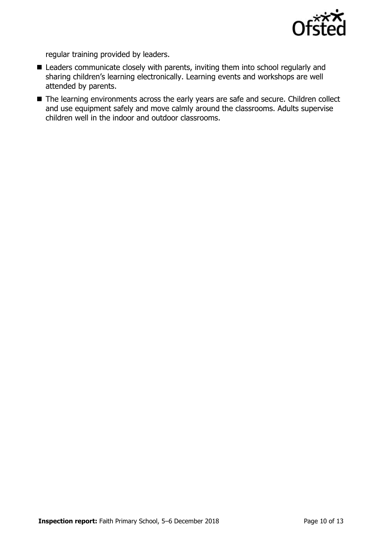

regular training provided by leaders.

- **E** Leaders communicate closely with parents, inviting them into school regularly and sharing children's learning electronically. Learning events and workshops are well attended by parents.
- The learning environments across the early years are safe and secure. Children collect and use equipment safely and move calmly around the classrooms. Adults supervise children well in the indoor and outdoor classrooms.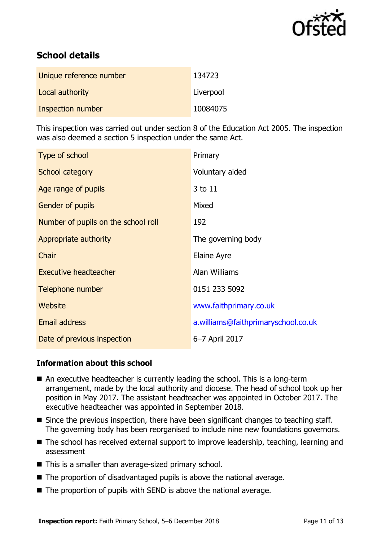

# **School details**

| Unique reference number | 134723    |
|-------------------------|-----------|
| Local authority         | Liverpool |
| Inspection number       | 10084075  |

This inspection was carried out under section 8 of the Education Act 2005. The inspection was also deemed a section 5 inspection under the same Act.

| Type of school                      | Primary                             |
|-------------------------------------|-------------------------------------|
| School category                     | Voluntary aided                     |
| Age range of pupils                 | 3 to 11                             |
| Gender of pupils                    | Mixed                               |
| Number of pupils on the school roll | 192                                 |
| Appropriate authority               | The governing body                  |
| Chair                               | Elaine Ayre                         |
| <b>Executive headteacher</b>        | Alan Williams                       |
| Telephone number                    | 0151 233 5092                       |
| Website                             | www.faithprimary.co.uk              |
| <b>Email address</b>                | a.williams@faithprimaryschool.co.uk |
| Date of previous inspection         | 6-7 April 2017                      |

### **Information about this school**

- An executive headteacher is currently leading the school. This is a long-term arrangement, made by the local authority and diocese. The head of school took up her position in May 2017. The assistant headteacher was appointed in October 2017. The executive headteacher was appointed in September 2018.
- Since the previous inspection, there have been significant changes to teaching staff. The governing body has been reorganised to include nine new foundations governors.
- The school has received external support to improve leadership, teaching, learning and assessment
- This is a smaller than average-sized primary school.
- $\blacksquare$  The proportion of disadvantaged pupils is above the national average.
- The proportion of pupils with SEND is above the national average.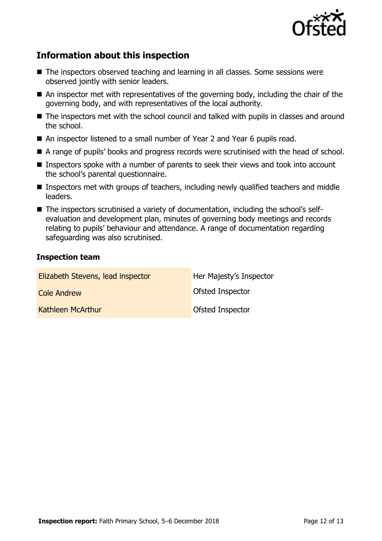

# **Information about this inspection**

- The inspectors observed teaching and learning in all classes. Some sessions were observed jointly with senior leaders.
- An inspector met with representatives of the governing body, including the chair of the governing body, and with representatives of the local authority.
- The inspectors met with the school council and talked with pupils in classes and around the school.
- An inspector listened to a small number of Year 2 and Year 6 pupils read.
- A range of pupils' books and progress records were scrutinised with the head of school.
- Inspectors spoke with a number of parents to seek their views and took into account the school's parental questionnaire.
- Inspectors met with groups of teachers, including newly qualified teachers and middle leaders.
- The inspectors scrutinised a variety of documentation, including the school's selfevaluation and development plan, minutes of governing body meetings and records relating to pupils' behaviour and attendance. A range of documentation regarding safeguarding was also scrutinised.

#### **Inspection team**

| Elizabeth Stevens, lead inspector | Her Majesty's Inspector |
|-----------------------------------|-------------------------|
| <b>Cole Andrew</b>                | <b>Ofsted Inspector</b> |
| Kathleen McArthur                 | Ofsted Inspector        |